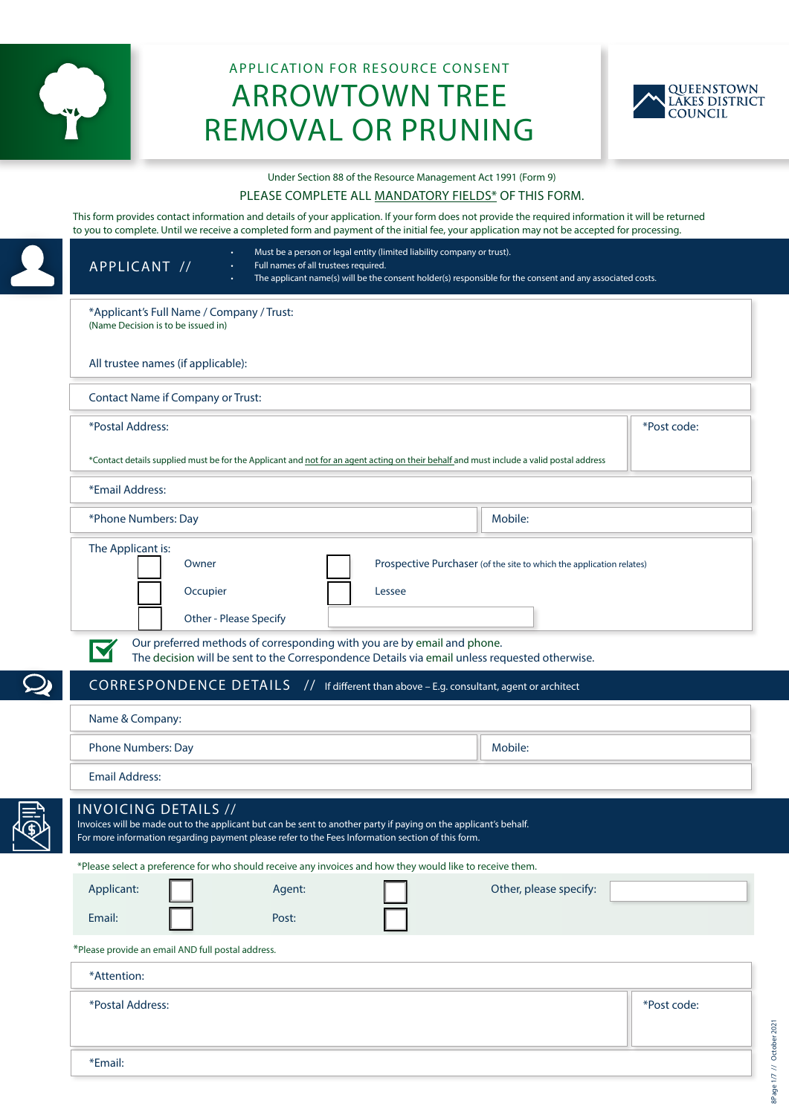

# APPLICATION FOR RESOURCE CONSENT ARROWTOWN TREE REMOVAL OR PRUNING



Under Section 88 of the Resource Management Act 1991 (Form 9)

#### PLEASE COMPLETE ALL MANDATORY FIELDS\* OF THIS FORM.

This form provides contact information and details of your application. If your form does not provide the required information it will be returned to you to complete. Until we receive a completed form and payment of the initial fee, your application may not be accepted for processing.

| Must be a person or legal entity (limited liability company or trust).<br>$\bullet$ .<br>APPLICANT //<br>Full names of all trustees required.<br>$\bullet$                                                                                                                                                               | The applicant name(s) will be the consent holder(s) responsible for the consent and any associated costs. |
|--------------------------------------------------------------------------------------------------------------------------------------------------------------------------------------------------------------------------------------------------------------------------------------------------------------------------|-----------------------------------------------------------------------------------------------------------|
| *Applicant's Full Name / Company / Trust:<br>(Name Decision is to be issued in)                                                                                                                                                                                                                                          |                                                                                                           |
| All trustee names (if applicable):                                                                                                                                                                                                                                                                                       |                                                                                                           |
| <b>Contact Name if Company or Trust:</b>                                                                                                                                                                                                                                                                                 |                                                                                                           |
| *Postal Address:                                                                                                                                                                                                                                                                                                         | *Post code:                                                                                               |
| *Contact details supplied must be for the Applicant and not for an agent acting on their behalf and must include a valid postal address                                                                                                                                                                                  |                                                                                                           |
| *Email Address:                                                                                                                                                                                                                                                                                                          |                                                                                                           |
| *Phone Numbers: Day                                                                                                                                                                                                                                                                                                      | Mobile:                                                                                                   |
| Occupier<br>Lessee<br>Other - Please Specify<br>Our preferred methods of corresponding with you are by email and phone.<br>M<br>The decision will be sent to the Correspondence Details via email unless requested otherwise.<br>CORRESPONDENCE DETAILS // If different than above - E.g. consultant, agent or architect |                                                                                                           |
| Name & Company:                                                                                                                                                                                                                                                                                                          |                                                                                                           |
| <b>Phone Numbers: Day</b>                                                                                                                                                                                                                                                                                                | Mobile:                                                                                                   |
| <b>Email Address:</b>                                                                                                                                                                                                                                                                                                    |                                                                                                           |
| <b>INVOICING DETAILS //</b><br>Invoices will be made out to the applicant but can be sent to another party if paying on the applicant's behalf.<br>For more information regarding payment please refer to the Fees Information section of this form.                                                                     |                                                                                                           |
| *Please select a preference for who should receive any invoices and how they would like to receive them.<br>Applicant:<br>Agent:                                                                                                                                                                                         | Other, please specify:                                                                                    |
| Email:<br>Post:                                                                                                                                                                                                                                                                                                          |                                                                                                           |
|                                                                                                                                                                                                                                                                                                                          |                                                                                                           |
|                                                                                                                                                                                                                                                                                                                          |                                                                                                           |
| *Please provide an email AND full postal address.<br>*Attention:                                                                                                                                                                                                                                                         |                                                                                                           |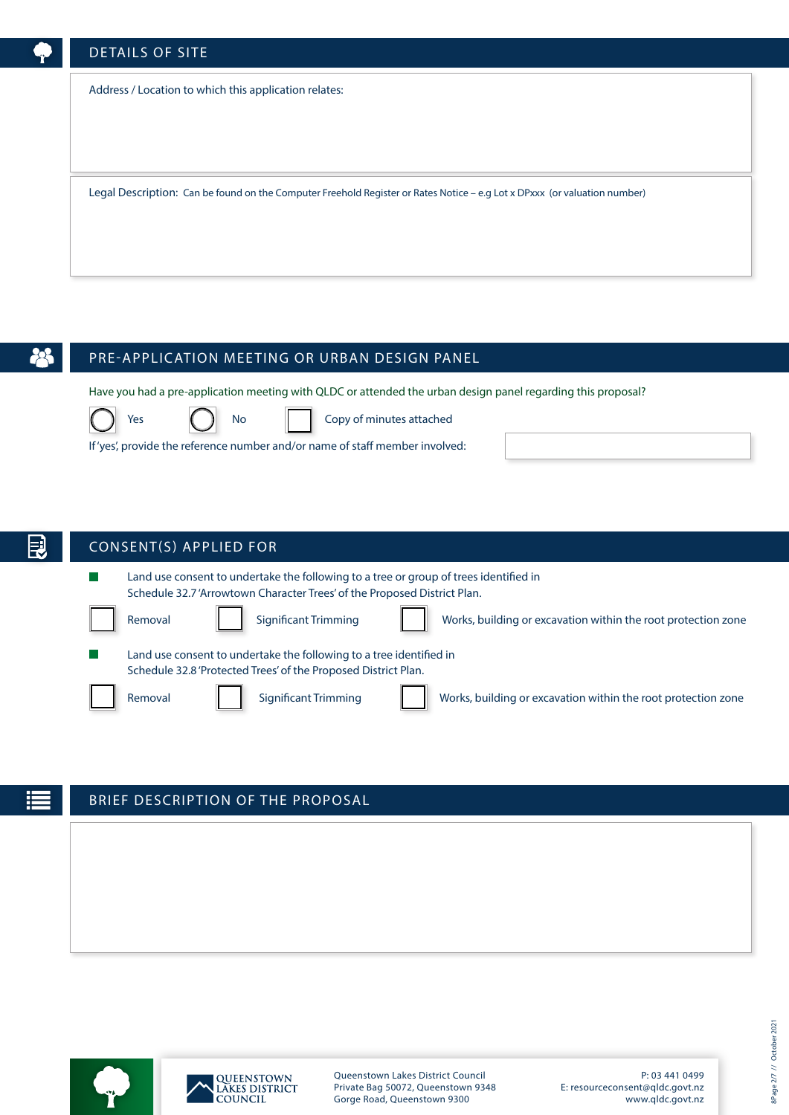# DETAILS OF SITE

Address / Location to which this application relates:

Legal Description: Can be found on the Computer Freehold Register or Rates Notice – e.g Lot x DPxxx (or valuation number)

# PRE-APPLICATION MEETING OR URBAN DESIGN PANEL

Have you had a pre-application meeting with QLDC or attended the urban design panel regarding this proposal?

















Yes  $\begin{pmatrix} \end{pmatrix}$  No  $\begin{pmatrix} \end{pmatrix}$  Copy of minutes attached

If 'yes', provide the reference number and/or name of staff member involved:

# CONSENT(S) APPLIED FOR

Land use consent to undertake the following to a tree or group of trees identified in Schedule 32.7 'Arrowtown Character Trees' of the Proposed District Plan. Removal Significant Trimming View Works, building or excavation within the root protection zone



# BRIEF DESCRIPTION OF THE PROPOSAL





Queenstown Lakes District Council Private Bag 50072, Queenstown 9348 Gorge Road, Queenstown 9300

P: 03 441 0499 E: resourceconsent@qldc.govt.nz www.qldc.govt.nz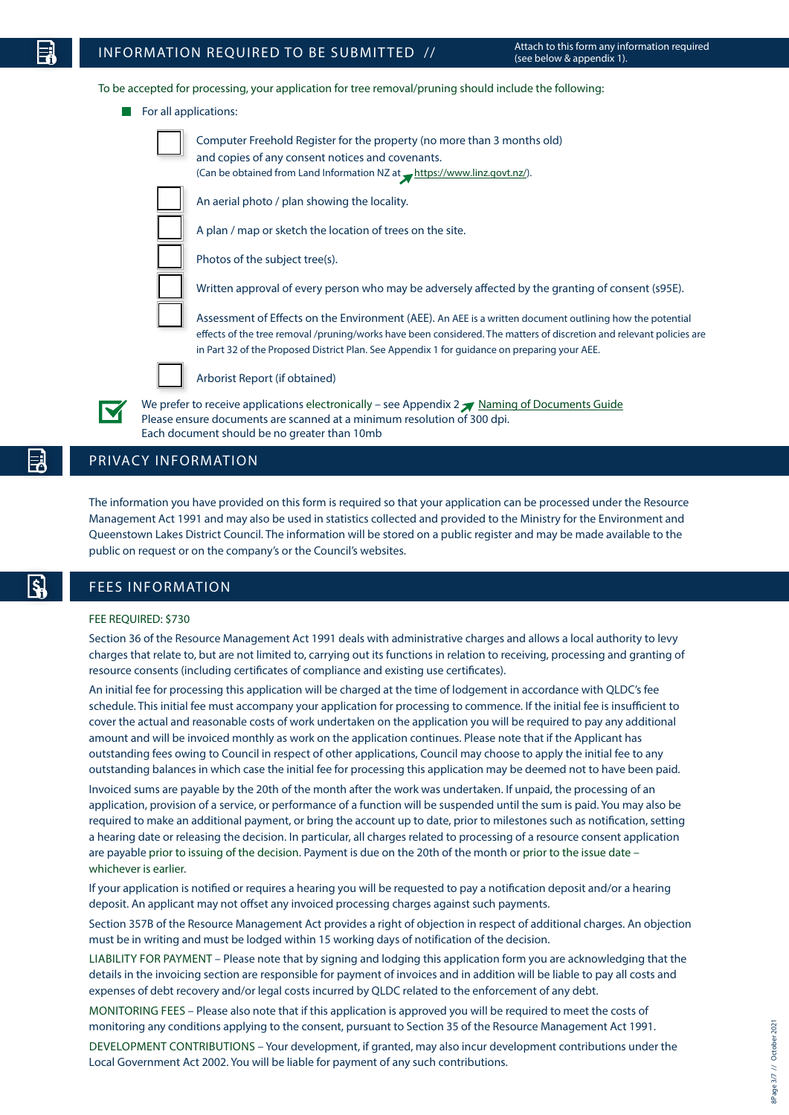To be accepted for processing, your application for tree removal/pruning should include the following:

For all applications:



Computer Freehold Register for the property (no more than 3 months old) and copies of any consent notices and covenants. (Can be obtained from Land Information NZ at  $\rightarrow$  https://www.linz.govt.nz/).

An aerial photo / plan showing the locality.

A plan / map or sketch the location of trees on the site.

Photos of the subject tree(s).

Written approval of every person who may be adversely affected by the granting of consent (s95E).

Assessment of Effects on the Environment (AEE). An AEE is a written document outlining how the potential effects of the tree removal /pruning/works have been considered. The matters of discretion and relevant policies are in Part 32 of the Proposed District Plan. See Appendix 1 for guidance on preparing your AEE.



Arborist Report (if obtained)

We prefer to receive applications electronically – see Appendix  $2 \times N$  Naming of Documents Guide Please ensure documents are scanned at a minimum resolution of 300 dpi. Each document should be no greater than 10mb

### PRIVACY INFORMATION

The information you have provided on this form is required so that your application can be processed under the Resource Management Act 1991 and may also be used in statistics collected and provided to the Ministry for the Environment and Queenstown Lakes District Council. The information will be stored on a public register and may be made available to the public on request or on the company's or the Council's websites.

### FEES INFORMATION

#### FEE REQUIRED: \$730

Section 36 of the Resource Management Act 1991 deals with administrative charges and allows a local authority to levy charges that relate to, but are not limited to, carrying out its functions in relation to receiving, processing and granting of resource consents (including certificates of compliance and existing use certificates).

An initial fee for processing this application will be charged at the time of lodgement in accordance with QLDC's fee schedule. This initial fee must accompany your application for processing to commence. If the initial fee is insufficient to cover the actual and reasonable costs of work undertaken on the application you will be required to pay any additional amount and will be invoiced monthly as work on the application continues. Please note that if the Applicant has outstanding fees owing to Council in respect of other applications, Council may choose to apply the initial fee to any outstanding balances in which case the initial fee for processing this application may be deemed not to have been paid.

Invoiced sums are payable by the 20th of the month after the work was undertaken. If unpaid, the processing of an application, provision of a service, or performance of a function will be suspended until the sum is paid. You may also be required to make an additional payment, or bring the account up to date, prior to milestones such as notification, setting a hearing date or releasing the decision. In particular, all charges related to processing of a resource consent application are payable prior to issuing of the decision. Payment is due on the 20th of the month or prior to the issue date – whichever is earlier.

If your application is notified or requires a hearing you will be requested to pay a notification deposit and/or a hearing deposit. An applicant may not offset any invoiced processing charges against such payments.

Section 357B of the Resource Management Act provides a right of objection in respect of additional charges. An objection must be in writing and must be lodged within 15 working days of notification of the decision.

LIABILITY FOR PAYMENT – Please note that by signing and lodging this application form you are acknowledging that the details in the invoicing section are responsible for payment of invoices and in addition will be liable to pay all costs and expenses of debt recovery and/or legal costs incurred by QLDC related to the enforcement of any debt.

MONITORING FEES – Please also note that if this application is approved you will be required to meet the costs of monitoring any conditions applying to the consent, pursuant to Section 35 of the Resource Management Act 1991.

DEVELOPMENT CONTRIBUTIONS – Your development, if granted, may also incur development contributions under the Local Government Act 2002. You will be liable for payment of any such contributions.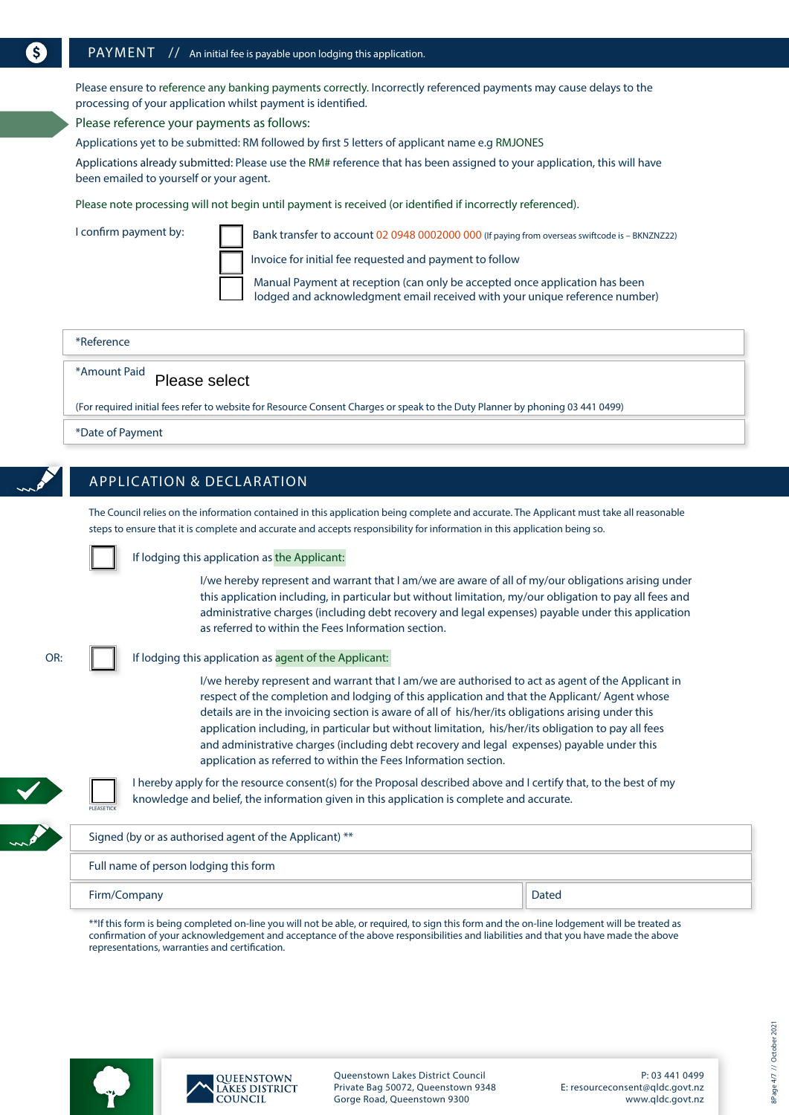Please ensure to reference any banking payments correctly. Incorrectly referenced payments may cause delays to the processing of your application whilst payment is identified.

Please reference your payments as follows:

Applications yet to be submitted: RM followed by first 5 letters of applicant name e.g RMJONES

Applications already submitted: Please use the RM# reference that has been assigned to your application, this will have been emailed to yourself or your agent.

Please note processing will not begin until payment is received (or identified if incorrectly referenced).

I confirm payment by:

Bank transfer to account 02 0948 0002000 000 (If paying from overseas swiftcode is - BKNZNZ22)

Invoice for initial fee requested and payment to follow

Manual Payment at reception (can only be accepted once application has been lodged and acknowledgment email received with your unique reference number)

| *Reference                                                                                                                    |  |
|-------------------------------------------------------------------------------------------------------------------------------|--|
| "Amount Paid    Please select                                                                                                 |  |
| (For required initial fees refer to website for Resource Consent Charges or speak to the Duty Planner by phoning 03 441 0499) |  |

\*Date of Payment

# APPLICATION & DECLARATION

The Council relies on the information contained in this application being complete and accurate. The Applicant must take all reasonable steps to ensure that it is complete and accurate and accepts responsibility for information in this application being so.

If lodging this application as the Applicant:

I/we hereby represent and warrant that I am/we are aware of all of my/our obligations arising under this application including, in particular but without limitation, my/our obligation to pay all fees and administrative charges (including debt recovery and legal expenses) payable under this application as referred to within the Fees Information section.

| e e                    |  |
|------------------------|--|
| ۰,<br>$\sim$<br>$\sim$ |  |

#### If lodging this application as agent of the Applicant:

I/we hereby represent and warrant that I am/we are authorised to act as agent of the Applicant in respect of the completion and lodging of this application and that the Applicant/ Agent whose details are in the invoicing section is aware of all of his/her/its obligations arising under this application including, in particular but without limitation, his/her/its obligation to pay all fees and administrative charges (including debt recovery and legal expenses) payable under this application as referred to within the Fees Information section.

I hereby apply for the resource consent(s) for the Proposal described above and I certify that, to the best of my knowledge and belief, the information given in this application is complete and accurate.

# Signed (by or as authorised agent of the Applicant) \*\* Full name of person lodging this form

#### Firm/Company Dated

PLEASE TICK

\*\*If this form is being completed on-line you will not be able, or required, to sign this form and the on-line lodgement will be treated as confirmation of your acknowledgement and acceptance of the above responsibilities and liabilities and that you have made the above representations, warranties and certification.



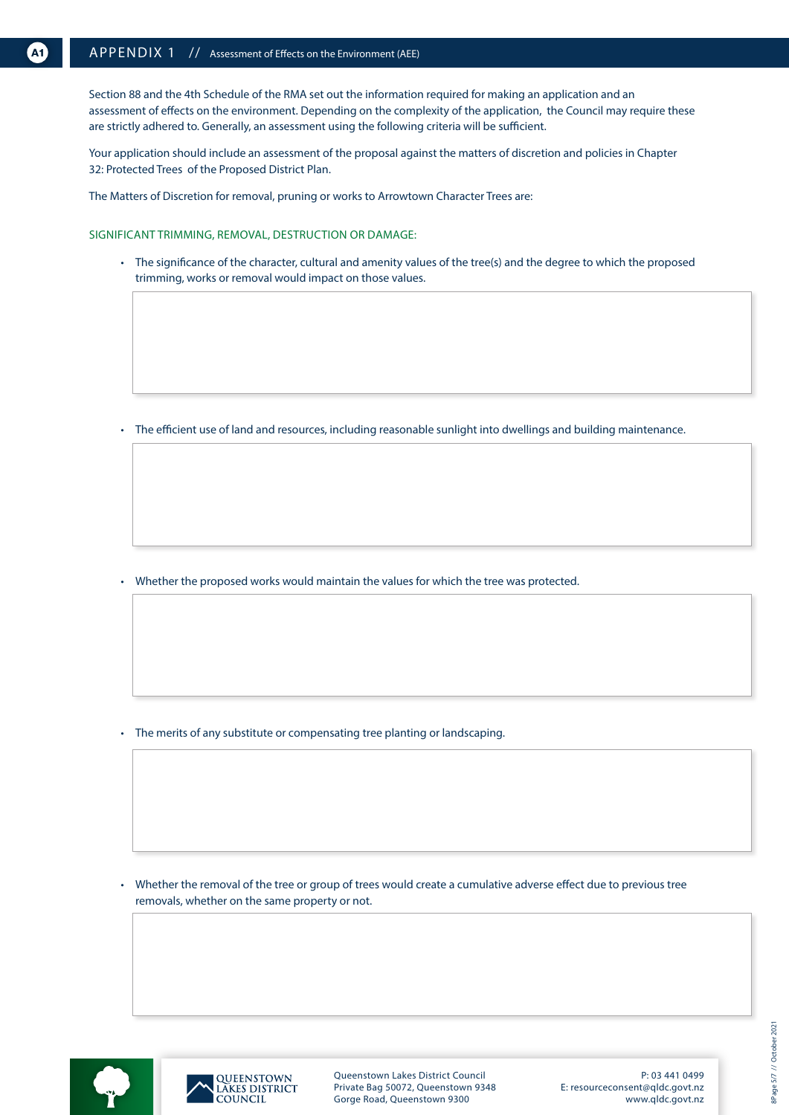Section 88 and the 4th Schedule of the RMA set out the information required for making an application and an assessment of effects on the environment. Depending on the complexity of the application, the Council may require these are strictly adhered to. Generally, an assessment using the following criteria will be sufficient.

Your application should include an assessment of the proposal against the matters of discretion and policies in Chapter 32: Protected Trees of the Proposed District Plan.

The Matters of Discretion for removal, pruning or works to Arrowtown Character Trees are:

SIGNIFICANT TRIMMING, REMOVAL, DESTRUCTION OR DAMAGE:

• The significance of the character, cultural and amenity values of the tree(s) and the degree to which the proposed trimming, works or removal would impact on those values.

• The efficient use of land and resources, including reasonable sunlight into dwellings and building maintenance.

• Whether the proposed works would maintain the values for which the tree was protected.

• The merits of any substitute or compensating tree planting or landscaping.

• Whether the removal of the tree or group of trees would create a cumulative adverse effect due to previous tree removals, whether on the same property or not.





Queenstown Lakes District Council Private Bag 50072, Queenstown 9348 Gorge Road, Queenstown 9300

P: 03 441 0499 E: resourceconsent@qldc.govt.nz www.qldc.govt.nz 8Page 5/7 // October 2021 8Page 5/7 // October 2021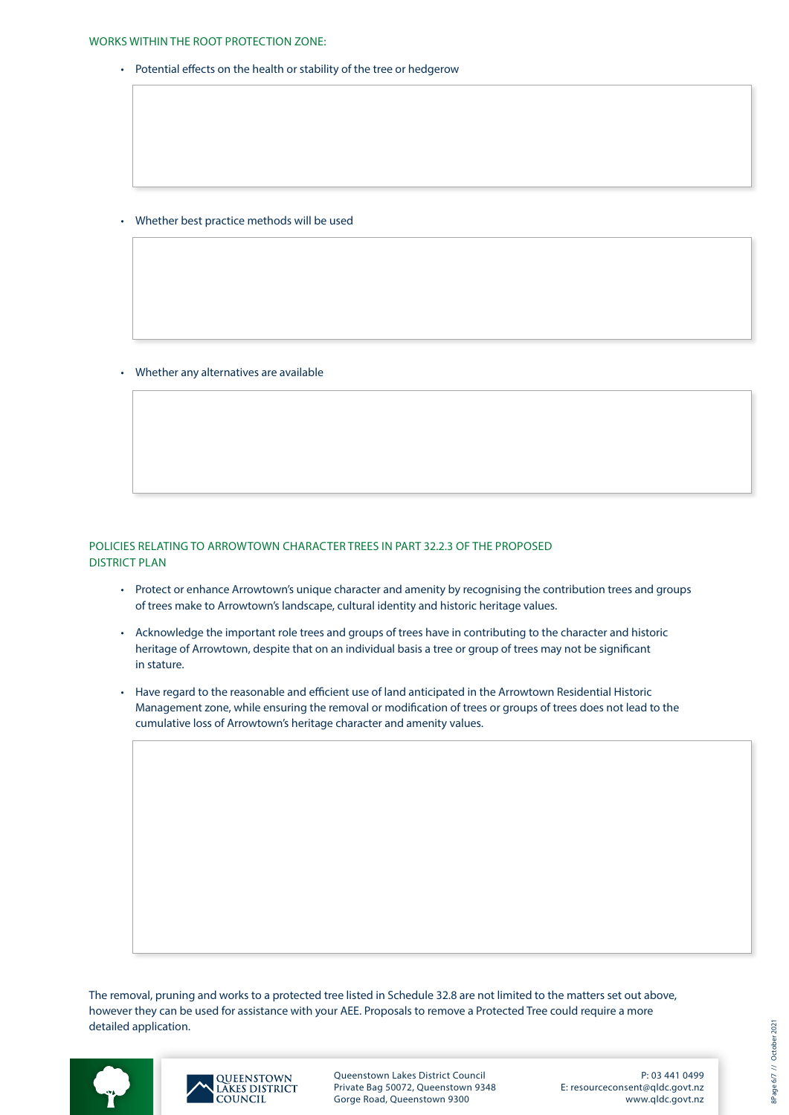• Potential effects on the health or stability of the tree or hedgerow

• Whether best practice methods will be used

• Whether any alternatives are available

### POLICIES RELATING TO ARROWTOWN CHARACTER TREES IN PART 32.2.3 OF THE PROPOSED DISTRICT PLAN

- Protect or enhance Arrowtown's unique character and amenity by recognising the contribution trees and groups of trees make to Arrowtown's landscape, cultural identity and historic heritage values.
- Acknowledge the important role trees and groups of trees have in contributing to the character and historic heritage of Arrowtown, despite that on an individual basis a tree or group of trees may not be significant in stature.
- Have regard to the reasonable and efficient use of land anticipated in the Arrowtown Residential Historic Management zone, while ensuring the removal or modification of trees or groups of trees does not lead to the cumulative loss of Arrowtown's heritage character and amenity values.

The removal, pruning and works to a protected tree listed in Schedule 32.8 are not limited to the matters set out above, however they can be used for assistance with your AEE. Proposals to remove a Protected Tree could require a more detailed application.





Queenstown Lakes District Council Private Bag 50072, Queenstown 9348 Gorge Road, Queenstown 9300